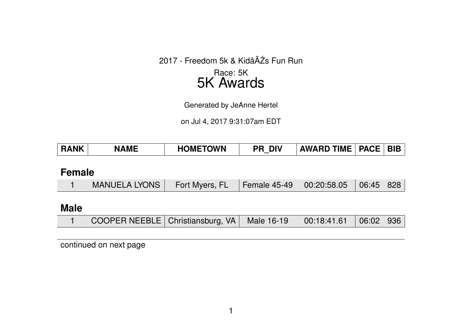2017 - Freedom 5k & KidâĂŹs Fun Run

# Race: 5K 5K Awards

Generated by JeAnne Hertel

on Jul 4, 2017 9:31:07am EDT

| <b>RANK</b> | <b>NAME</b> | <b>HOMETOWN</b> | <b>DIV</b><br>PR. | <b>AWARD TIME   PACE   BIB</b> |  |  |
|-------------|-------------|-----------------|-------------------|--------------------------------|--|--|
|-------------|-------------|-----------------|-------------------|--------------------------------|--|--|

## **Female**

|  | MANUELA LYONS   Fort Myers, FL $\,$   Female 45-49   00:20:58.05   06:45   828 |  |  |  |  |  |
|--|--------------------------------------------------------------------------------|--|--|--|--|--|
|--|--------------------------------------------------------------------------------|--|--|--|--|--|

#### **Male**

|  | COOPER NEEBLE   Christiansburg, VA   Male 16-19   00:18:41.61   06:02   936 |  |  |  |  |  |
|--|-----------------------------------------------------------------------------|--|--|--|--|--|
|--|-----------------------------------------------------------------------------|--|--|--|--|--|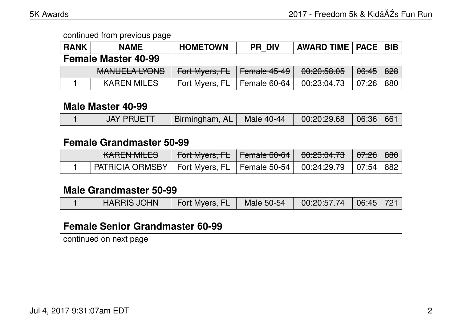| <b>RANK</b> | <b>NAME</b>                        | <b>HOMETOWN</b> | <b>PR DIV</b>                   | <b>AWARD TIME   PACE   BIB</b> |                  |     |
|-------------|------------------------------------|-----------------|---------------------------------|--------------------------------|------------------|-----|
|             | <b>Female Master 40-99</b>         |                 |                                 |                                |                  |     |
|             | MANILIEL A IVONIC<br>MANULLA LIUNJ | Fort Myers, FL  | $\vert$ <del>Female 45-49</del> | 00:20:50.05                    | <del>06:45</del> | 828 |
|             | <b>KAREN MILES</b>                 | Fort Myers, FL  | Female 60-64                    | 00:23:04.73                    | 07:26            | 880 |

#### **Male Master 40-99**

|  | <b>JAY PRUETT</b> | Birmingham, AL   Male 40-44   00:20:29.68   06:36   661 |  |  |  |  |
|--|-------------------|---------------------------------------------------------|--|--|--|--|
|--|-------------------|---------------------------------------------------------|--|--|--|--|

## **Female Grandmaster 50-99**

| <u>LADENI MILEO</u><br><b>MULTY MILLO</b>                                   | $\parallel$ Fort Myers, FL $\parallel$ Female 60-64 $\parallel$ 00:23:04.73 $\parallel$ |  | <del>07:26</del>   <del>880</del> |  |
|-----------------------------------------------------------------------------|-----------------------------------------------------------------------------------------|--|-----------------------------------|--|
| PATRICIA ORMSBY   Fort Myers, FL   Female 50-54   00:24:29.79   07:54   882 |                                                                                         |  |                                   |  |

#### **Male Grandmaster 50-99**

|  | <b>HARRIS JOHN</b> | Fort Myers, FL   Male 50-54   00:20:57.74   06:45   721 |  |  |  |  |
|--|--------------------|---------------------------------------------------------|--|--|--|--|
|--|--------------------|---------------------------------------------------------|--|--|--|--|

# **Female Senior Grandmaster 60-99**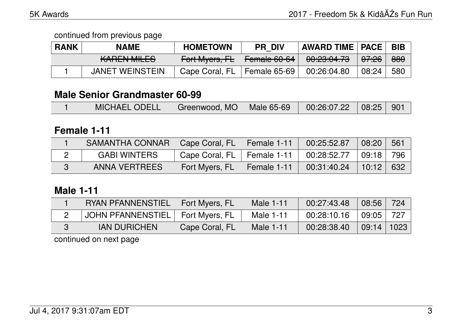continued from previous page

| <b>RANK</b> | <b>NAME</b>                            | <b>HOMETOWN</b> | <b>PR DIV</b>             | <b>AWARD TIME   PACE  </b>      |                  | <b>BIB</b> |
|-------------|----------------------------------------|-----------------|---------------------------|---------------------------------|------------------|------------|
|             | <u>LADENI MILEO</u><br>IVALILIV IVILLO | Fort Myers, FL  | L<br><b>TURITAL UP OF</b> | 0.0000172<br><u>UU.CJ.UT.TJ</u> | <del>07:26</del> | 880        |
|             | <b>JANET WEINSTEIN</b>                 | Cape Coral, FL  | Female 65-69              | 00:26:04.80                     | 08:24            | 580        |

#### **Male Senior Grandmaster 60-99**

## **Female 1-11**

| SAMANTHA CONNAR      | Cape Coral, FL   Female 1-11 |             | 00:25:52.87 | 08:20 | 561 |
|----------------------|------------------------------|-------------|-------------|-------|-----|
| <b>GABI WINTERS</b>  | Cape Coral, FL   Female 1-11 |             | 00:28:52.77 | 09:18 | 796 |
| <b>ANNA VERTREES</b> | Fort Myers, FL               | Female 1-11 | 00:31:40.24 | 10:12 | 632 |

## **Male 1-11**

| <b>RYAN PFANNENSTIEL</b>           | Fort Myers, FL | Male 1-11 | 00:27:43.48 | 08:56          | 724 |
|------------------------------------|----------------|-----------|-------------|----------------|-----|
| JOHN PFANNENSTIEL   Fort Myers, FL |                | Male 1-11 | 00:28:10.16 | 09:05          | 727 |
| <b>IAN DURICHEN</b>                | Cape Coral, FL | Male 1-11 | 00:28:38.40 | $09:14$   1023 |     |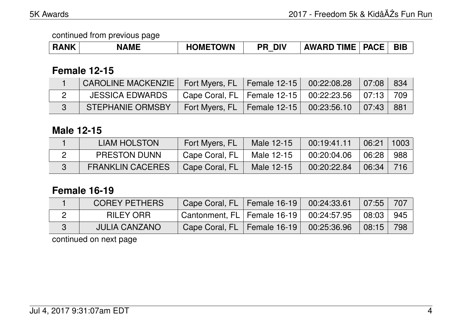| <b>RANK</b> | <b>AME</b> | <b>'OMETOWN</b> | <b>DIV</b><br>PR | <b>AWARD TIME</b> | <b>PACE</b> | <b>BIE</b> |
|-------------|------------|-----------------|------------------|-------------------|-------------|------------|
|-------------|------------|-----------------|------------------|-------------------|-------------|------------|

#### **Female 12-15**

| CAROLINE MACKENZIE   Fort Myers, FL   Female 12-15 |                                                     | 00:22:08.28 | $\sqrt{07:08}$ | -834  |
|----------------------------------------------------|-----------------------------------------------------|-------------|----------------|-------|
| <b>JESSICA EDWARDS</b>                             | Cape Coral, FL   Female 12-15   00:22:23.56   07:13 |             |                | 709   |
| <b>STEPHANIE ORMSBY</b>                            | Fort Myers, FL   Female $12-15$   00:23:56.10       |             | ∣ 07:43 ∣      | - 881 |

## **Male 12-15**

| LIAM HOLSTON            | Fort Myers, FL | Male 12-15 | 00:19:41.11 | 06:21 | $\vert$ 1003 |
|-------------------------|----------------|------------|-------------|-------|--------------|
| <b>PRESTON DUNN</b>     | Cape Coral, FL | Male 12-15 | 00:20:04.06 | 06:28 | 988          |
| <b>FRANKLIN CACERES</b> | Cape Coral, FL | Male 12-15 | 00:20:22.84 | 06:34 | -716         |

# **Female 16-19**

| <b>COREY PETHERS</b> | Cape Coral, FL   Female 16-19   00:24:33.61               |  | $\parallel$ 07:55 $\parallel$ 707 |  |
|----------------------|-----------------------------------------------------------|--|-----------------------------------|--|
| RILEY ORR            | Cantonment, FL   Female 16-19   00:24:57.95   08:03   945 |  |                                   |  |
| <b>JULIA CANZANO</b> | Cape Coral, FL   Female 16-19   00:25:36.96               |  | 08:15 798                         |  |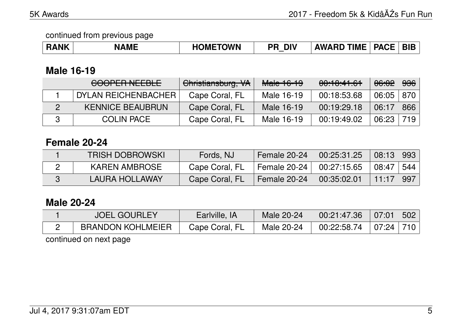| <b>RANK</b> | <b>NAME</b> | <b>HOMETOWN</b> | <b>DIV</b><br>PR<br>_ | <b>AWARD TIME</b> | <b>PACE</b> | <b>BIE</b> |
|-------------|-------------|-----------------|-----------------------|-------------------|-------------|------------|
|-------------|-------------|-----------------|-----------------------|-------------------|-------------|------------|

#### **Male 16-19**

| <b>COOPER NEEBLE</b>    | Christiansburg, VA | Male 16-19 | 00:10:41.61 | <del>06:02</del> | <del>936</del> |
|-------------------------|--------------------|------------|-------------|------------------|----------------|
| DYLAN REICHENBACHER     | Cape Coral, FL     | Male 16-19 | 00:18:53.68 | $06:05$   870    |                |
| <b>KENNICE BEAUBRUN</b> | Cape Coral, FL     | Male 16-19 | 00:19:29.18 | 06:17            | 866            |
| <b>COLIN PACE</b>       | Cape Coral, FL     | Male 16-19 | 00:19:49.02 | 06:23            | 719            |

# **Female 20-24**

| <b>TRISH DOBROWSKI</b> | Fords, NJ      | Female 20-24        | 00:25:31.25 | 08:13 993                 |  |
|------------------------|----------------|---------------------|-------------|---------------------------|--|
| <b>KAREN AMBROSE</b>   | Cape Coral, FL | <b>Female 20-24</b> | 00:27:15.65 | $\vert$ 08:47 $\vert$ 544 |  |
| LAURA HOLLAWAY         | Cape Coral, FL | Female 20-24        | 00:35:02.01 | $11:17$ 997               |  |

# **Male 20-24**

| <b>JOEL GOURLEY</b>      | Earlville, IA  | Male 20-24 | $00:21:47.36$   07:01   502 |  |
|--------------------------|----------------|------------|-----------------------------|--|
| <b>BRANDON KOHLMEIER</b> | Cape Coral, FL | Male 20-24 | $00:22:58.74$   07:24   710 |  |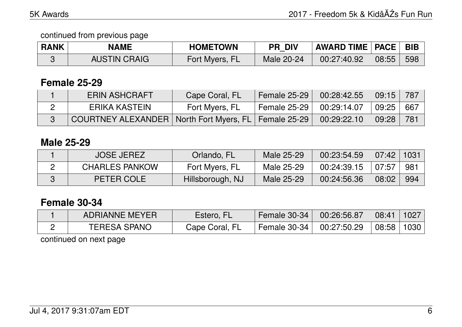| <b>RANK</b> | <b>NAME</b>         | <b>HOMETOWN</b> | <b>PR DIV</b> | <b>AWARD TIME   PACE   BIB</b> |       |     |
|-------------|---------------------|-----------------|---------------|--------------------------------|-------|-----|
|             | <b>AUSTIN CRAIG</b> | Fort Myers, FL  | Male 20-24    | 00:27:40.92                    | 08:55 | 598 |

#### **Female 25-29**

| <b>ERIN ASHCRAFT</b>                                     | Cape Coral, FL | <b>Female 25-29</b>      | 00:28:42.55 | 09:15 | - 787 |
|----------------------------------------------------------|----------------|--------------------------|-------------|-------|-------|
| ERIKA KASTEIN                                            | Fort Myers, FL | Female 25-29 $\parallel$ | 00:29:14.07 | 09:25 | - 667 |
| COURTNEY ALEXANDER   North Fort Myers, FL   Female 25-29 |                |                          | 00:29:22.10 | 09:28 | -781  |

## **Male 25-29**

| <b>JOSE JEREZ</b>     | Orlando, FL      | Male 25-29 | 00:23:54.59 | $07:42$   1031 |     |
|-----------------------|------------------|------------|-------------|----------------|-----|
| <b>CHARLES PANKOW</b> | Fort Myers, FL   | Male 25-29 | 00:24:39.15 | 07:57          | 981 |
| PETER COLE            | Hillsborough, NJ | Male 25-29 | 00:24:56.36 | 08:02          | 994 |

# **Female 30-34**

| <b>ADRIANNE MEYER</b> | Estero, FL     | Female 30-34                         | 00:26:56.87 | 08:41                 | 1027     |
|-----------------------|----------------|--------------------------------------|-------------|-----------------------|----------|
| <b>TERESA SPANO</b>   | Cape Coral, FL | $\pm$ Female 30-34 $\pm$ 00:27:50.29 |             | $\vert$ 08:58 $\vert$ | ∣ 1030 ∣ |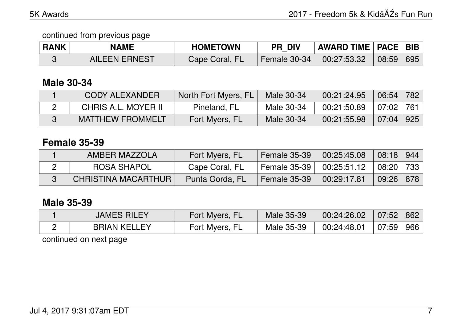| <b>RANK</b> | <b>NAME</b>          | <b>HOMETOWN</b> | <b>PR DIV</b> | <b>AWARD TIME   PACE   BIB</b> |       |     |
|-------------|----------------------|-----------------|---------------|--------------------------------|-------|-----|
|             | <b>AILEEN ERNEST</b> | Cape Coral, FL  | Female 30-34  | 00:27:53.32                    | 08:59 | 695 |

## **Male 30-34**

| <b>CODY ALEXANDER</b>   | North Fort Myers, FL | Male 30-34 | 00:21:24.95 | 06:54 782    |                 |
|-------------------------|----------------------|------------|-------------|--------------|-----------------|
| CHRIS A.L. MOYER II     | Pineland, FL         | Male 30-34 | 00:21:50.89 | $107:02$ 761 |                 |
| <b>MATTHEW FROMMELT</b> | Fort Myers, FL       | Male 30-34 | 00:21:55.98 | 07:04        | $\parallel$ 925 |

## **Female 35-39**

| AMBER MAZZOLA       | Fort Myers, FL  | <b>Female 35-39</b> | 00:25:45.08                | 08:18 944               |  |
|---------------------|-----------------|---------------------|----------------------------|-------------------------|--|
| ROSA SHAPOL         | Cape Coral, FL  |                     | Female 35-39   00:25:51.12 | $\mid$ 08:20 $\mid$ 733 |  |
| CHRISTINA MACARTHUR | Punta Gorda, FL | <b>Female 35-39</b> | 00:29:17.81                | 09:26 878               |  |

#### **Male 35-39**

| <b>JAMES RILEY</b>  | Fort Myers, FL | Male 35-39 | 00:24:26.02 | $07:52$ 862 |  |
|---------------------|----------------|------------|-------------|-------------|--|
| <b>BRIAN KELLEY</b> | Fort Myers, FL | Male 35-39 | 00:24:48.01 | 07:59 966   |  |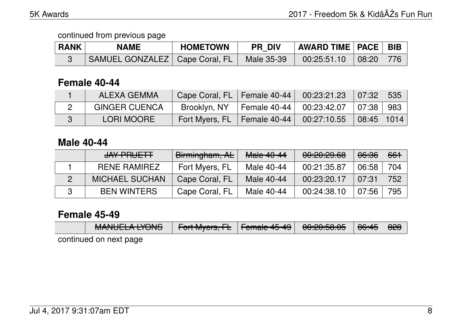| <b>RANK</b> | <b>NAME</b>                      | <b>HOMETOWN</b> | <b>PR DIV</b> | <b>AWARD TIME   PACE  </b> |              | <b>BIB</b> |
|-------------|----------------------------------|-----------------|---------------|----------------------------|--------------|------------|
|             | SAMUEL GONZALEZ   Cape Coral, FL |                 | Male 35-39    | 00:25:51.10                | $\mid$ 08:20 | 776        |

# **Female 40-44**

| ALEXA GEMMA          | Cape Coral, FL   Female 40-44 |              | $00:23:21.23$ 07:32                                | 535 |
|----------------------|-------------------------------|--------------|----------------------------------------------------|-----|
| <b>GINGER CUENCA</b> | Brooklyn, NY                  | Female 40-44 | $00:23:42.07$ $\mid 07:38 \mid$                    | 983 |
| LORI MOORE           | Fort Myers, FL   Female 40-44 |              | $\mid$ 00:27:10.55 $\mid$ 08:45 $\mid$ 1014 $\mid$ |     |

# **Male 40-44**

| JAY PRUETT            | Birmingham, AL | Male 40-44 | 0.0000000<br><b>UU.CU.CJ.UU</b> | 06:36 | 661 |
|-----------------------|----------------|------------|---------------------------------|-------|-----|
| <b>RENE RAMIREZ</b>   | Fort Myers, FL | Male 40-44 | 00:21:35.87                     | 06:58 | 704 |
| <b>MICHAEL SUCHAN</b> | Cape Coral, FL | Male 40-44 | 00:23:20.17                     | 07:31 | 752 |
| <b>BEN WINTERS</b>    | Cape Coral, FL | Male 40-44 | 00:24:38.10                     | 07:56 | 795 |

## **Female 45-49**

|  |  | <b>MANILIEL A IMANIA</b><br>MANULLA LIUNO | $\Gamma$ and $\Lambda$ is a $\Gamma$ $\Gamma$ $\Gamma$ are also $\Lambda$ $\Gamma$ $\Lambda$ $\Omega$<br>$\blacksquare$ ा जाताणyकाऊ, तस्य   तस्नाात्वास म $\mathcal{T}$ मेरी   $\blacksquare$ |  | $\bigcap \bigcap \bigcap \bigcap \bigsubset \bigcap \bigcap \bigcap \bigsubset$<br><del>uu.zu.ju.uu</del> | $\parallel$ <del>06:45</del> $\parallel$ | - <del>020</del> |
|--|--|-------------------------------------------|-----------------------------------------------------------------------------------------------------------------------------------------------------------------------------------------------|--|-----------------------------------------------------------------------------------------------------------|------------------------------------------|------------------|
|--|--|-------------------------------------------|-----------------------------------------------------------------------------------------------------------------------------------------------------------------------------------------------|--|-----------------------------------------------------------------------------------------------------------|------------------------------------------|------------------|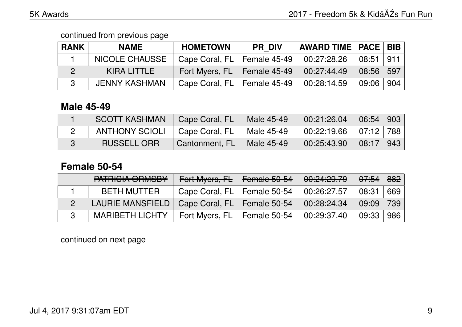continued from previous page

| <b>RANK</b> | <b>NAME</b>           | <b>HOMETOWN</b> | <b>PR DIV</b> | <b>AWARD TIME   PACE   BIB  </b> |             |     |
|-------------|-----------------------|-----------------|---------------|----------------------------------|-------------|-----|
|             | <b>NICOLE CHAUSSE</b> | Cape Coral, FL  | Female 45-49  | 00:27:28.26                      | 08:51   911 |     |
|             | KIRA LITTLE           | Fort Myers, FL  | Female 45-49  | 00:27:44.49                      | 08:56       | 597 |
|             | <b>JENNY KASHMAN</b>  | Cape Coral, FL  | Female 45-49  | 00:28:14.59                      | 09:06       | 904 |

#### **Male 45-49**

| <b>SCOTT KASHMAN</b>  | Cape Coral, FL | Male 45-49 | 00:21:26.04 | $06:54$   903 |     |
|-----------------------|----------------|------------|-------------|---------------|-----|
| <b>ANTHONY SCIOLI</b> | Cape Coral, FL | Male 45-49 | 00:22:19.66 | 07:12   788   |     |
| <b>RUSSELL ORR</b>    | Cantonment, FL | Male 45-49 | 00:25:43.90 | 08:17         | 943 |

## **Female 50-54**

| DATDIOIA ODMODV<br><u>LATITUM AINMODI.</u> | Fort Myers, FL                | Female 50-54 | 00:24:29.79 | 07:54 | 882 |
|--------------------------------------------|-------------------------------|--------------|-------------|-------|-----|
| <b>BETH MUTTER</b>                         | Cape Coral, FL   Female 50-54 |              | 00:26:27.57 | 08:31 | 669 |
| LAURIE MANSFIELD                           | Cape Coral, FL   Female 50-54 |              | 00:28:24.34 | 09:09 | 739 |
| <b>MARIBETH LICHTY</b>                     | Fort Myers, FL                | Female 50-54 | 00:29:37.40 | 09:33 | 986 |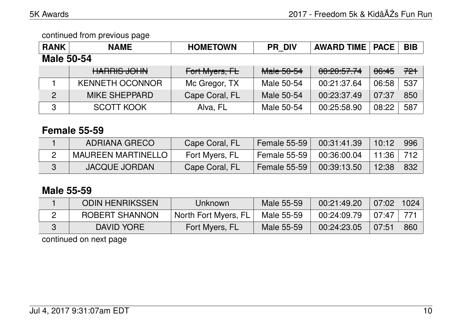continued from previous page

| <b>RANK</b>       | <b>NAME</b>                    | <b>HOMETOWN</b> | <b>PR DIV</b> | <b>AWARD TIME   PACE</b> |                  | <b>BIB</b> |  |  |
|-------------------|--------------------------------|-----------------|---------------|--------------------------|------------------|------------|--|--|
| <b>Male 50-54</b> |                                |                 |               |                          |                  |            |  |  |
|                   | LIADDIC IQLINI<br>LIANNIO JUHN | Fort Myers, FL  | Male 50-54    | 00:20:57.74              | <del>06:45</del> | 721        |  |  |
|                   | <b>KENNETH OCONNOR</b>         | Mc Gregor, TX   | Male 50-54    | 00:21:37.64              | 06:58            | 537        |  |  |
| $\overline{2}$    | <b>MIKE SHEPPARD</b>           | Cape Coral, FL  | Male 50-54    | 00:23:37.49              | 07:37            | 850        |  |  |
| 3                 | <b>SCOTT KOOK</b>              | Alva, FL        | Male 50-54    | 00:25:58.90              | 08:22            | 587        |  |  |

## **Female 55-59**

| ADRIANA GRECO        | Cape Coral, FL | <b>Female 55-59</b>   | 00:31:41.39 | 10:12 | 996 |
|----------------------|----------------|-----------------------|-------------|-------|-----|
| MAUREEN MARTINELLO   | Fort Myers, FL | <b>Female 55-59</b>   | 00:36:00.04 | 11:36 |     |
| <b>JACQUE JORDAN</b> | Cape Coral, FL | <b>Female 55-59  </b> | 00:39:13.50 | 12:38 | 832 |

## **Male 55-59**

| <b>ODIN HENRIKSSEN</b> | Unknown              | Male 55-59 | 00:21:49.20 | 07:02 | 1024 |
|------------------------|----------------------|------------|-------------|-------|------|
| <b>ROBERT SHANNON</b>  | North Fort Myers, FL | Male 55-59 | 00:24:09.79 | 07:47 |      |
| DAVID YORE             | Fort Myers, FL       | Male 55-59 | 00:24:23.05 | 07:51 | 860  |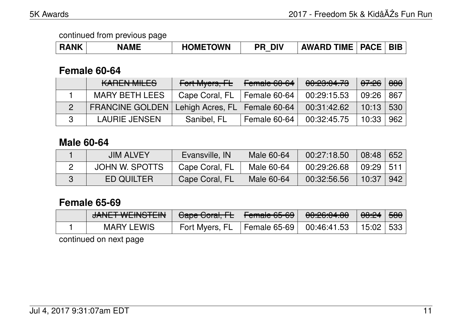| <b>RANK</b> | <b>NAME</b> | <b>HOMETOWN</b> | <b>DIV</b><br>ΡR | <b>AWARD TIME</b> | $\Box$ PACE $^+$ | <b>BIE</b> |
|-------------|-------------|-----------------|------------------|-------------------|------------------|------------|
|-------------|-------------|-----------------|------------------|-------------------|------------------|------------|

### **Female 60-64**

| <b>KAREN MILES</b>                                | Fort Myers, FL | Female 60-64 | 00:23:04.73 | <del>07:26</del> | 880 |
|---------------------------------------------------|----------------|--------------|-------------|------------------|-----|
| <b>MARY BETH LEES</b>                             | Cape Coral, FL | Female 60-64 | 00:29:15.53 | 09:26            | 867 |
| FRANCINE GOLDEN   Lehigh Acres, FL   Female 60-64 |                |              | 00:31:42.62 | $10:13$ 530      |     |
| <b>LAURIE JENSEN</b>                              | Sanibel, FL    | Female 60-64 | 00:32:45.75 | 10:33            | 962 |

# **Male 60-64**

| <b>JIM ALVEY</b>  | Evansville, IN | Male 60-64 | 00:27:18.50 | 08:48         | 652 |
|-------------------|----------------|------------|-------------|---------------|-----|
| JOHN W. SPOTTS    | Cape Coral, FL | Male 60-64 | 00:29:26.68 | $09:29$   511 |     |
| <b>ED QUILTER</b> | Cape Coral, FL | Male 60-64 | 00:32:56.56 | 10:37         | 942 |

# **Female 65-69**

| <u>IANIET IAIEINIOTEINI</u><br>UNIVER VYETIVO TEITV | <del>Cape Coral, FL</del>                     | $L$ amala $CF$ $CO$<br>$\pm$ Formald $00^+00^-$ | 0.000000000<br><u><del>UU.CU.UT.UU</del></u> | <del>08:24</del> ∣ <del>580</del> ∣ |  |
|-----------------------------------------------------|-----------------------------------------------|-------------------------------------------------|----------------------------------------------|-------------------------------------|--|
| <b>MARY LEWIS</b>                                   | Fort Myers, FL   Female 65-69   $00:46:41.53$ |                                                 |                                              | 15:02   533                         |  |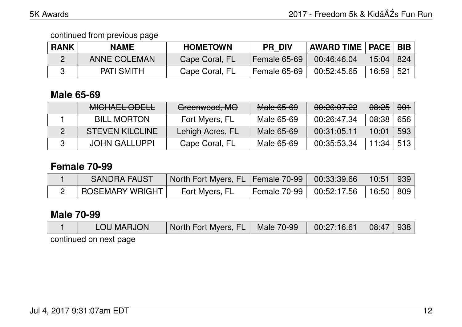| <b>RANK</b> | <b>NAME</b>         | <b>HOMETOWN</b> | <b>PR DIV</b> | AWARD TIME   PACE   BIB |               |     |
|-------------|---------------------|-----------------|---------------|-------------------------|---------------|-----|
|             | <b>ANNE COLEMAN</b> | Cape Coral, FL  | Female 65-69  | 00:46:46.04             | $15:04$   824 |     |
|             | <b>PATI SMITH</b>   | Cape Coral, FL  | Female 65-69  | 00:52:45.65             | 16:59         | 521 |

## **Male 65-69**

| MIQUALI ODLIL<br>MIULIALL UDLLL | Greenwood, MO    | Male 65-69 | 00:26:07.22 | 08:25 | <del>901</del> |
|---------------------------------|------------------|------------|-------------|-------|----------------|
| <b>BILL MORTON</b>              | Fort Myers, FL   | Male 65-69 | 00:26:47.34 | 08:38 | 656            |
| <b>STEVEN KILCLINE</b>          | Lehigh Acres, FL | Male 65-69 | 00:31:05.11 | 10:01 | 593            |
| <b>JOHN GALLUPPI</b>            | Cape Coral, FL   | Male 65-69 | 00:35:53.34 | 11:34 | 513            |

# **Female 70-99**

| <b>SANDRA FAUST</b> | North Fort Myers, FL   Female 70-99   00:33:39.66   10:51   939 |                                          |  |
|---------------------|-----------------------------------------------------------------|------------------------------------------|--|
| ROSEMARY WRIGHT     | Fort Myers, FL                                                  | Female 70-99   00:52:17.56   16:50   809 |  |

## **Male 70-99**

|                                                                                                                 | LOU MARJON | North Fort Myers, FL   Male 70-99   00:27:16.61   08:47   938 |  |  |  |  |  |  |
|-----------------------------------------------------------------------------------------------------------------|------------|---------------------------------------------------------------|--|--|--|--|--|--|
| the contract of the contract of the contract of the contract of the contract of the contract of the contract of |            |                                                               |  |  |  |  |  |  |